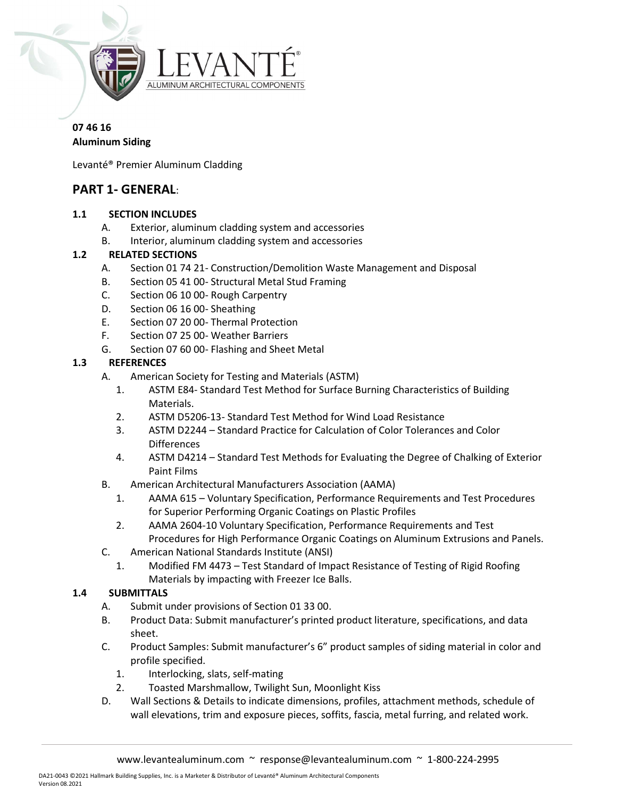

# 07 46 16

#### Aluminum Siding

Levanté® Premier Aluminum Cladding

# PART 1- GENERAL:

### 1.1 SECTION INCLUDES

- A. Exterior, aluminum cladding system and accessories
- B. Interior, aluminum cladding system and accessories

### 1.2 RELATED SECTIONS

- A. Section 01 74 21- Construction/Demolition Waste Management and Disposal
- B. Section 05 41 00- Structural Metal Stud Framing
- C. Section 06 10 00- Rough Carpentry
- D. Section 06 16 00- Sheathing
- E. Section 07 20 00- Thermal Protection
- F. Section 07 25 00- Weather Barriers
- G. Section 07 60 00- Flashing and Sheet Metal

### 1.3 REFERENCES

- A. American Society for Testing and Materials (ASTM)
	- 1. ASTM E84- Standard Test Method for Surface Burning Characteristics of Building Materials.
	- 2. ASTM D5206-13- Standard Test Method for Wind Load Resistance
	- 3. ASTM D2244 Standard Practice for Calculation of Color Tolerances and Color **Differences**
	- 4. ASTM D4214 Standard Test Methods for Evaluating the Degree of Chalking of Exterior Paint Films
- B. American Architectural Manufacturers Association (AAMA)
	- 1. AAMA 615 Voluntary Specification, Performance Requirements and Test Procedures for Superior Performing Organic Coatings on Plastic Profiles
	- 2. AAMA 2604-10 Voluntary Specification, Performance Requirements and Test Procedures for High Performance Organic Coatings on Aluminum Extrusions and Panels.
- C. American National Standards Institute (ANSI)
	- 1. Modified FM 4473 Test Standard of Impact Resistance of Testing of Rigid Roofing Materials by impacting with Freezer Ice Balls.

### 1.4 SUBMITTALS

- A. Submit under provisions of Section 01 33 00.
- B. Product Data: Submit manufacturer's printed product literature, specifications, and data sheet.
- C. Product Samples: Submit manufacturer's 6" product samples of siding material in color and profile specified.
	- 1. Interlocking, slats, self-mating
	- 2. Toasted Marshmallow, Twilight Sun, Moonlight Kiss
- D. Wall Sections & Details to indicate dimensions, profiles, attachment methods, schedule of wall elevations, trim and exposure pieces, soffits, fascia, metal furring, and related work.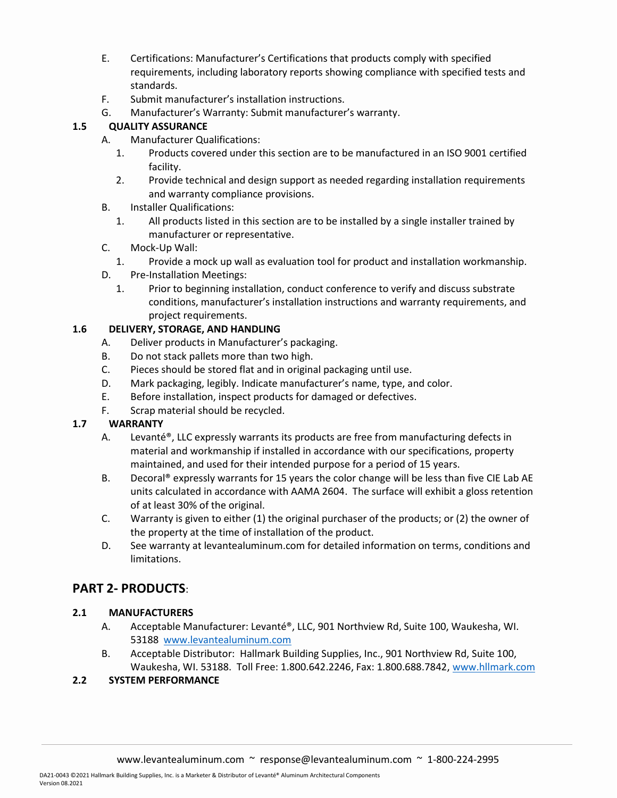- E. Certifications: Manufacturer's Certifications that products comply with specified requirements, including laboratory reports showing compliance with specified tests and standards.
- F. Submit manufacturer's installation instructions.
- G. Manufacturer's Warranty: Submit manufacturer's warranty.

### 1.5 QUALITY ASSURANCE

- A. Manufacturer Qualifications:
	- 1. Products covered under this section are to be manufactured in an ISO 9001 certified facility.
	- 2. Provide technical and design support as needed regarding installation requirements and warranty compliance provisions.
- B. Installer Qualifications:
	- 1. All products listed in this section are to be installed by a single installer trained by manufacturer or representative.
- C. Mock-Up Wall:
	- 1. Provide a mock up wall as evaluation tool for product and installation workmanship.
- D. Pre-Installation Meetings:
	- 1. Prior to beginning installation, conduct conference to verify and discuss substrate conditions, manufacturer's installation instructions and warranty requirements, and project requirements.

### 1.6 DELIVERY, STORAGE, AND HANDLING

- A. Deliver products in Manufacturer's packaging.
- B. Do not stack pallets more than two high.
- C. Pieces should be stored flat and in original packaging until use.
- D. Mark packaging, legibly. Indicate manufacturer's name, type, and color.
- E. Before installation, inspect products for damaged or defectives.
- F. Scrap material should be recycled.

### 1.7 WARRANTY

- A. Levanté®, LLC expressly warrants its products are free from manufacturing defects in material and workmanship if installed in accordance with our specifications, property maintained, and used for their intended purpose for a period of 15 years.
- B. Decoral® expressly warrants for 15 years the color change will be less than five CIE Lab AE units calculated in accordance with AAMA 2604. The surface will exhibit a gloss retention of at least 30% of the original.
- C. Warranty is given to either (1) the original purchaser of the products; or (2) the owner of the property at the time of installation of the product.
- D. See warranty at levantealuminum.com for detailed information on terms, conditions and limitations.

# PART 2- PRODUCTS:

### 2.1 MANUFACTURERS

- A. Acceptable Manufacturer: Levanté®, LLC, 901 Northview Rd, Suite 100, Waukesha, WI. 53188 www.levantealuminum.com
- B. Acceptable Distributor: Hallmark Building Supplies, Inc., 901 Northview Rd, Suite 100, Waukesha, WI. 53188. Toll Free: 1.800.642.2246, Fax: 1.800.688.7842, www.hllmark.com

### 2.2 SYSTEM PERFORMANCE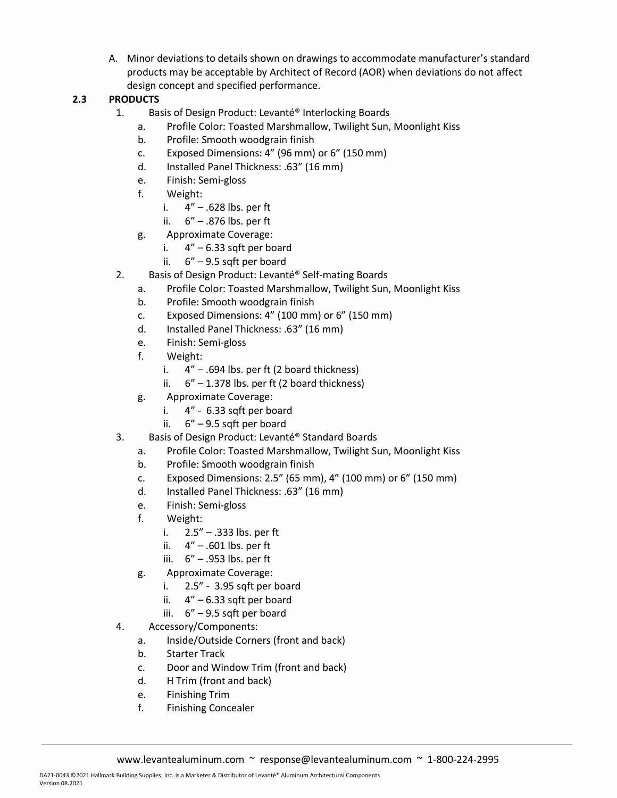A. Minor deviations to details shown on drawings to accommodate manufacturer's standard products may be acceptable by Architect of Record (AOR) when deviations do not affect design concept and specified performance.

### 2.3 PRODUCTS

- 1. Basis of Design Product: Levanté® Interlocking Boards
	- a. Profile Color: Toasted Marshmallow, Twilight Sun, Moonlight Kiss
	- b. Profile: Smooth woodgrain finish
	- c. Exposed Dimensions: 4" (96 mm) or 6" (150 mm)
	- d. Installed Panel Thickness: .63" (16 mm)
	- e. Finish: Semi-gloss
	- f. Weight:
		- i. 4" .628 lbs. per ft
		- ii. 6" .876 lbs. per ft
	- g. Approximate Coverage:
		- i.  $4'' 6.33$  sqft per board
		- ii. 6" 9.5 sqft per board
- 2. Basis of Design Product: Levanté® Self-mating Boards
	- a. Profile Color: Toasted Marshmallow, Twilight Sun, Moonlight Kiss
	- b. Profile: Smooth woodgrain finish
	- c. Exposed Dimensions: 4" (100 mm) or 6" (150 mm)
	- d. Installed Panel Thickness: .63" (16 mm)
	- e. Finish: Semi-gloss
	- f. Weight:
		- i.  $4'' .694$  lbs. per ft (2 board thickness)
		- ii.  $6'' 1.378$  lbs. per ft (2 board thickness)
	- g. Approximate Coverage:
		- i. 4" 6.33 sqft per board
		- ii. 6" 9.5 sqft per board
- 3. Basis of Design Product: Levanté® Standard Boards
	- a. Profile Color: Toasted Marshmallow, Twilight Sun, Moonlight Kiss
	- b. Profile: Smooth woodgrain finish
	- c. Exposed Dimensions: 2.5" (65 mm), 4" (100 mm) or 6" (150 mm)
	- d. Installed Panel Thickness: .63" (16 mm)
	- e. Finish: Semi-gloss
	- f. Weight:
		- i. 2.5" .333 lbs. per ft
		- ii.  $4" .601$  lbs. per ft
		- iii. 6" .953 lbs. per ft
	- g. Approximate Coverage:
		- i. 2.5" 3.95 sqft per board
		- ii.  $4'' 6.33$  sqft per board
		- iii. 6" 9.5 sqft per board
- 4. Accessory/Components:
	- a. Inside/Outside Corners (front and back)
	- b. Starter Track
	- c. Door and Window Trim (front and back)
	- d. H Trim (front and back)
	- e. Finishing Trim
	- f. Finishing Concealer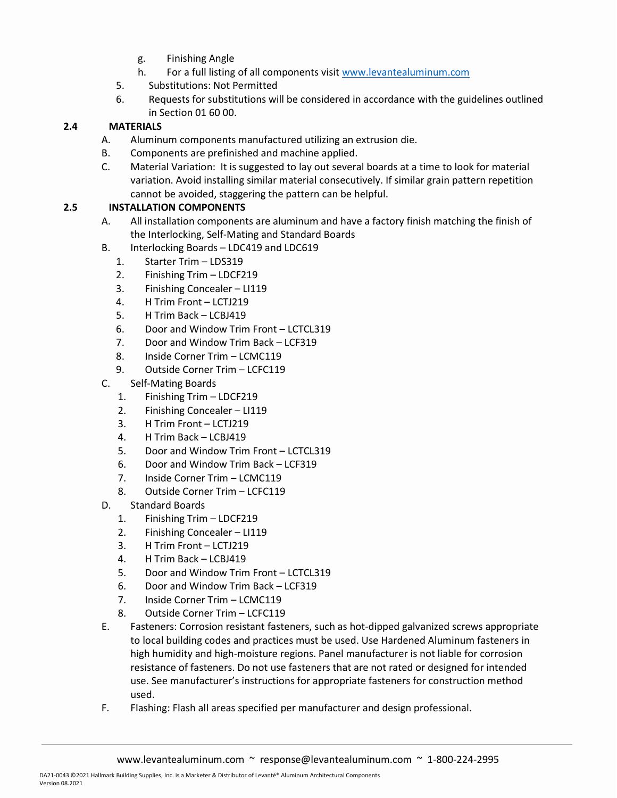- g. Finishing Angle
- h. For a full listing of all components visit www.levantealuminum.com
- 5. Substitutions: Not Permitted
- 6. Requests for substitutions will be considered in accordance with the guidelines outlined in Section 01 60 00.

#### 2.4 MATERIALS

- A. Aluminum components manufactured utilizing an extrusion die.
- B. Components are prefinished and machine applied.
- C. Material Variation: It is suggested to lay out several boards at a time to look for material variation. Avoid installing similar material consecutively. If similar grain pattern repetition cannot be avoided, staggering the pattern can be helpful.

#### 2.5 INSTALLATION COMPONENTS

- A. All installation components are aluminum and have a factory finish matching the finish of the Interlocking, Self-Mating and Standard Boards
- B. Interlocking Boards LDC419 and LDC619
	- 1. Starter Trim LDS319
	- 2. Finishing Trim LDCF219
	- 3. Finishing Concealer LI119
	- 4. H Trim Front LCTJ219
	- 5. H Trim Back LCBJ419
	- 6. Door and Window Trim Front LCTCL319
	- 7. Door and Window Trim Back LCF319
	- 8. Inside Corner Trim LCMC119
	- 9. Outside Corner Trim LCFC119
- C. Self-Mating Boards
	- 1. Finishing Trim LDCF219
	- 2. Finishing Concealer LI119
	- 3. H Trim Front LCTJ219
	- 4. H Trim Back LCBJ419
	- 5. Door and Window Trim Front LCTCL319
	- 6. Door and Window Trim Back LCF319
	- 7. Inside Corner Trim LCMC119
	- 8. Outside Corner Trim LCFC119
- D. Standard Boards
	- 1. Finishing Trim LDCF219
	- 2. Finishing Concealer LI119
	- 3. H Trim Front LCTJ219
	- 4. H Trim Back LCBJ419
	- 5. Door and Window Trim Front LCTCL319
	- 6. Door and Window Trim Back LCF319
	- 7. Inside Corner Trim LCMC119
	- 8. Outside Corner Trim LCFC119
- E. Fasteners: Corrosion resistant fasteners, such as hot-dipped galvanized screws appropriate to local building codes and practices must be used. Use Hardened Aluminum fasteners in high humidity and high-moisture regions. Panel manufacturer is not liable for corrosion resistance of fasteners. Do not use fasteners that are not rated or designed for intended use. See manufacturer's instructions for appropriate fasteners for construction method used.
- F. Flashing: Flash all areas specified per manufacturer and design professional.